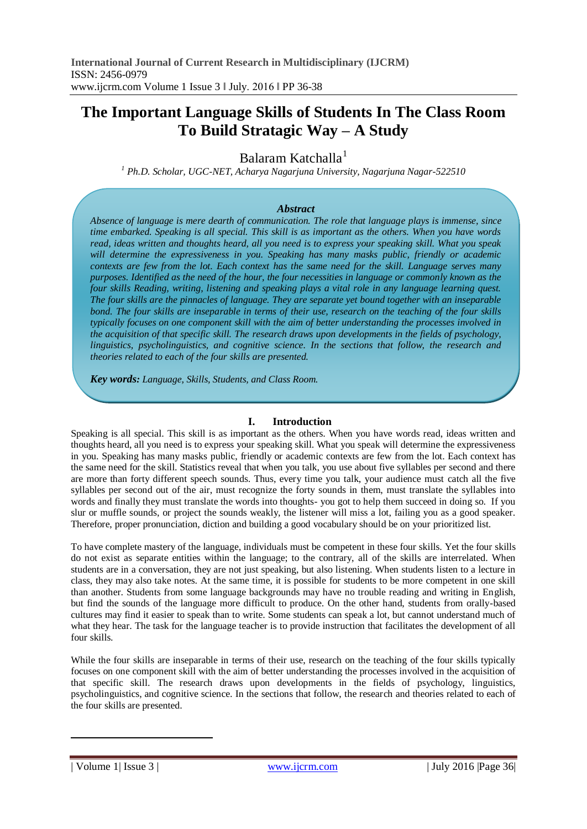# **The Important Language Skills of Students In The Class Room To Build Stratagic Way – A Study**

Balaram Katchalla<sup>1</sup>

*<sup>1</sup> Ph.D. Scholar, UGC-NET, Acharya Nagarjuna University, Nagarjuna Nagar-522510*

#### *Abstract*

*Absence of language is mere dearth of communication. The role that language plays is immense, since time embarked. Speaking is all special. This skill is as important as the others. When you have words read, ideas written and thoughts heard, all you need is to express your speaking skill. What you speak will determine the expressiveness in you. Speaking has many masks public, friendly or academic contexts are few from the lot. Each context has the same need for the skill. Language serves many purposes. Identified as the need of the hour, the four necessities in language or commonly known as the four skills Reading, writing, listening and speaking plays a vital role in any language learning quest. The four skills are the pinnacles of language. They are separate yet bound together with an inseparable bond. The four skills are inseparable in terms of their use, research on the teaching of the four skills typically focuses on one component skill with the aim of better understanding the processes involved in the acquisition of that specific skill. The research draws upon developments in the fields of psychology, linguistics, psycholinguistics, and cognitive science. In the sections that follow, the research and theories related to each of the four skills are presented.*

*Key words: Language, Skills, Students, and Class Room.*

#### **I. Introduction**

Speaking is all special. This skill is as important as the others. When you have words read, ideas written and thoughts heard, all you need is to express your speaking skill. What you speak will determine the expressiveness in you. Speaking has many masks public, friendly or academic contexts are few from the lot. Each context has the same need for the skill. Statistics reveal that when you talk, you use about five syllables per second and there are more than forty different speech sounds. Thus, every time you talk, your audience must catch all the five syllables per second out of the air, must recognize the forty sounds in them, must translate the syllables into words and finally they must translate the words into thoughts- you got to help them succeed in doing so. If you slur or muffle sounds, or project the sounds weakly, the listener will miss a lot, failing you as a good speaker. Therefore, proper pronunciation, diction and building a good vocabulary should be on your prioritized list.

To have complete mastery of the language, individuals must be competent in these four skills. Yet the four skills do not exist as separate entities within the language; to the contrary, all of the skills are interrelated. When students are in a conversation, they are not just speaking, but also listening. When students listen to a lecture in class, they may also take notes. At the same time, it is possible for students to be more competent in one skill than another. Students from some language backgrounds may have no trouble reading and writing in English, but find the sounds of the language more difficult to produce. On the other hand, students from orally-based cultures may find it easier to speak than to write. Some students can speak a lot, but cannot understand much of what they hear. The task for the language teacher is to provide instruction that facilitates the development of all four skills.

While the four skills are inseparable in terms of their use, research on the teaching of the four skills typically focuses on one component skill with the aim of better understanding the processes involved in the acquisition of that specific skill. The research draws upon developments in the fields of psychology, linguistics, psycholinguistics, and cognitive science. In the sections that follow, the research and theories related to each of the four skills are presented.

1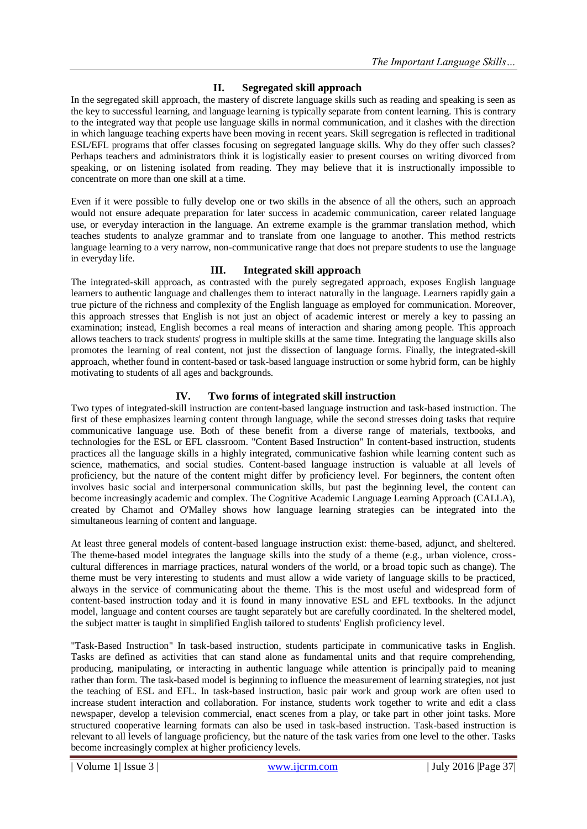# **II. Segregated skill approach**

In the segregated skill approach, the mastery of discrete language skills such as reading and speaking is seen as the key to successful learning, and language learning is typically separate from content learning. This is contrary to the integrated way that people use language skills in normal communication, and it clashes with the direction in which language teaching experts have been moving in recent years. Skill segregation is reflected in traditional ESL/EFL programs that offer classes focusing on segregated language skills. Why do they offer such classes? Perhaps teachers and administrators think it is logistically easier to present courses on writing divorced from speaking, or on listening isolated from reading. They may believe that it is instructionally impossible to concentrate on more than one skill at a time.

Even if it were possible to fully develop one or two skills in the absence of all the others, such an approach would not ensure adequate preparation for later success in academic communication, career related language use, or everyday interaction in the language. An extreme example is the grammar translation method, which teaches students to analyze grammar and to translate from one language to another. This method restricts language learning to a very narrow, non-communicative range that does not prepare students to use the language in everyday life.

#### **III. Integrated skill approach**

The integrated-skill approach, as contrasted with the purely segregated approach, exposes English language learners to authentic language and challenges them to interact naturally in the language. Learners rapidly gain a true picture of the richness and complexity of the English language as employed for communication. Moreover, this approach stresses that English is not just an object of academic interest or merely a key to passing an examination; instead, English becomes a real means of interaction and sharing among people. This approach allows teachers to track students' progress in multiple skills at the same time. Integrating the language skills also promotes the learning of real content, not just the dissection of language forms. Finally, the integrated-skill approach, whether found in content-based or task-based language instruction or some hybrid form, can be highly motivating to students of all ages and backgrounds.

### **IV. Two forms of integrated skill instruction**

Two types of integrated-skill instruction are content-based language instruction and task-based instruction. The first of these emphasizes learning content through language, while the second stresses doing tasks that require communicative language use. Both of these benefit from a diverse range of materials, textbooks, and technologies for the ESL or EFL classroom. "Content Based Instruction" In content-based instruction, students practices all the language skills in a highly integrated, communicative fashion while learning content such as science, mathematics, and social studies. Content-based language instruction is valuable at all levels of proficiency, but the nature of the content might differ by proficiency level. For beginners, the content often involves basic social and interpersonal communication skills, but past the beginning level, the content can become increasingly academic and complex. The Cognitive Academic Language Learning Approach (CALLA), created by Chamot and O'Malley shows how language learning strategies can be integrated into the simultaneous learning of content and language.

At least three general models of content-based language instruction exist: theme-based, adjunct, and sheltered. The theme-based model integrates the language skills into the study of a theme (e.g., urban violence, crosscultural differences in marriage practices, natural wonders of the world, or a broad topic such as change). The theme must be very interesting to students and must allow a wide variety of language skills to be practiced, always in the service of communicating about the theme. This is the most useful and widespread form of content-based instruction today and it is found in many innovative ESL and EFL textbooks. In the adjunct model, language and content courses are taught separately but are carefully coordinated. In the sheltered model, the subject matter is taught in simplified English tailored to students' English proficiency level.

"Task-Based Instruction" In task-based instruction, students participate in communicative tasks in English. Tasks are defined as activities that can stand alone as fundamental units and that require comprehending, producing, manipulating, or interacting in authentic language while attention is principally paid to meaning rather than form. The task-based model is beginning to influence the measurement of learning strategies, not just the teaching of ESL and EFL. In task-based instruction, basic pair work and group work are often used to increase student interaction and collaboration. For instance, students work together to write and edit a class newspaper, develop a television commercial, enact scenes from a play, or take part in other joint tasks. More structured cooperative learning formats can also be used in task-based instruction. Task-based instruction is relevant to all levels of language proficiency, but the nature of the task varies from one level to the other. Tasks become increasingly complex at higher proficiency levels.